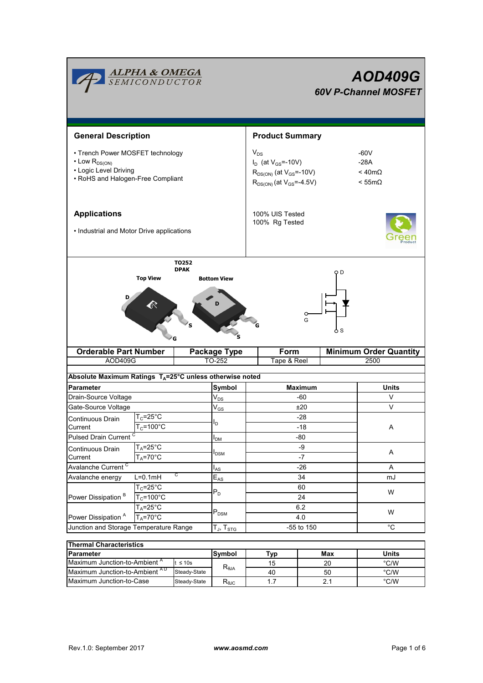| <b>ALPHA &amp; OMEGA</b><br>SEMICONDUCTOR                                                                                                |                                                               |                                                       |                                 | <b>AOD409G</b><br><b>60V P-Channel MOSFET</b>                                                                                                                                       |                |              |       |  |
|------------------------------------------------------------------------------------------------------------------------------------------|---------------------------------------------------------------|-------------------------------------------------------|---------------------------------|-------------------------------------------------------------------------------------------------------------------------------------------------------------------------------------|----------------|--------------|-------|--|
| <b>General Description</b>                                                                                                               |                                                               |                                                       |                                 | <b>Product Summary</b>                                                                                                                                                              |                |              |       |  |
| • Trench Power MOSFET technology<br>$\cdot$ Low $R_{DS(ON)}$<br>• Logic Level Driving<br>• RoHS and Halogen-Free Compliant               |                                                               |                                                       |                                 | $V_{DS}$<br>$-60V$<br>$I_D$ (at $V_{GS} = -10V$ )<br>$-28A$<br>$<$ 40m $\Omega$<br>$R_{DS(ON)}$ (at $V_{GS}$ =-10V)<br>$R_{DS(ON)}$ (at $V_{GS} = -4.5V$ )<br>$< 55 \text{m}\Omega$ |                |              |       |  |
| <b>Applications</b><br>• Industrial and Motor Drive applications                                                                         |                                                               |                                                       |                                 | 100% UIS Tested<br>100% Rg Tested                                                                                                                                                   |                |              |       |  |
| <b>Top View</b><br><b>Bottom View</b><br>G<br>G<br><b>Orderable Part Number</b><br>Form<br><b>Minimum Order Quantity</b><br>Package Type |                                                               |                                                       |                                 |                                                                                                                                                                                     |                |              |       |  |
| AOD409G                                                                                                                                  |                                                               |                                                       | TO-252                          | Tape & Reel                                                                                                                                                                         |                |              | 2500  |  |
| Absolute Maximum Ratings T <sub>A</sub> =25°C unless otherwise noted                                                                     |                                                               |                                                       |                                 |                                                                                                                                                                                     |                |              |       |  |
| <b>Parameter</b>                                                                                                                         |                                                               |                                                       | Symbol<br>$V_{DS}$              |                                                                                                                                                                                     | <b>Maximum</b> |              | Units |  |
|                                                                                                                                          | Drain-Source Voltage                                          |                                                       |                                 | -60<br>±20                                                                                                                                                                          |                |              | V     |  |
| Gate-Source Voltage                                                                                                                      |                                                               |                                                       | $\mathsf{V}_{\mathsf{GS}}$      | -28                                                                                                                                                                                 |                |              | V     |  |
| Continuous Drain<br>Current                                                                                                              | $T_c = 25^{\circ}C$<br>$T_c = 100^{\circ}C$                   |                                                       | l <sub>D</sub>                  | $-18$                                                                                                                                                                               |                |              | A     |  |
| <b>Pulsed Drain Current</b>                                                                                                              |                                                               |                                                       | $I_{DM}$                        | $-80$                                                                                                                                                                               |                |              |       |  |
|                                                                                                                                          | $T_A = 25$ °C<br>Continuous Drain<br>$T_A = 70$ °C<br>Current |                                                       |                                 | -9                                                                                                                                                                                  |                |              |       |  |
|                                                                                                                                          |                                                               |                                                       | <b>I</b> <sub>DSM</sub><br>$-7$ |                                                                                                                                                                                     |                |              | A     |  |
| Avalanche Current <sup>C</sup>                                                                                                           |                                                               | $I_{AS}$                                              | $-26$                           |                                                                                                                                                                                     |                | Α            |       |  |
| С<br>$L=0.1mH$<br>Avalanche energy                                                                                                       |                                                               | $E_{AS}$                                              | 34                              |                                                                                                                                                                                     |                | mJ           |       |  |
|                                                                                                                                          | $T_c = 25^\circ C$                                            |                                                       | $P_D$                           | 60                                                                                                                                                                                  |                |              | W     |  |
| Power Dissipation <sup>B</sup>                                                                                                           | $T_c = 100^{\circ}C$                                          |                                                       |                                 | 24                                                                                                                                                                                  |                |              |       |  |
| $T_A = 25$ °C<br>Power Dissipation <sup>A</sup><br>$T_A = 70$ °C                                                                         |                                                               |                                                       | $P_{DSM}$                       |                                                                                                                                                                                     | 6.2<br>4.0     |              | W     |  |
| Junction and Storage Temperature Range                                                                                                   |                                                               | $\mathsf{T}_{\mathsf{J}},\,\mathsf{T}_{\mathsf{STG}}$ | -55 to 150                      |                                                                                                                                                                                     |                | $^{\circ}C$  |       |  |
|                                                                                                                                          |                                                               |                                                       |                                 |                                                                                                                                                                                     |                |              |       |  |
| <b>Thermal Characteristics</b>                                                                                                           |                                                               |                                                       |                                 |                                                                                                                                                                                     |                |              |       |  |
| <b>Parameter</b>                                                                                                                         |                                                               | Symbol                                                | <b>Typ</b>                      | Max                                                                                                                                                                                 |                | <b>Units</b> |       |  |

| <b>Thermal Characteristics</b>           |              |                                   |     |              |               |  |  |
|------------------------------------------|--------------|-----------------------------------|-----|--------------|---------------|--|--|
| <b>Parameter</b>                         | lSvmbol      | Tvo                               | Max | <b>Units</b> |               |  |  |
| Maximum Junction-to-Ambient <sup>"</sup> | $\leq 10$ s  |                                   | 15  | 20           | °C/W          |  |  |
| Maximum Junction-to-Ambient AD           | Steady-State | $\mathsf{R}_{\theta \mathsf{JA}}$ | 40  | 50           | $\degree$ C/W |  |  |
| Maximum Junction-to-Case                 | Steady-State | $R_{\theta \text{JC}}$            |     |              | °C/W          |  |  |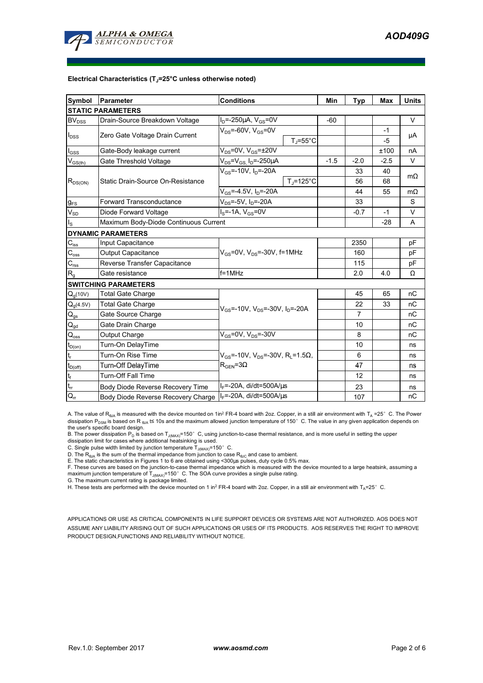

#### **Electrical Characteristics (TJ=25°C unless otherwise noted)**

| Symbol                                  | Parameter                             | <b>Conditions</b>                                                                                   | Min                  | <b>Typ</b> | <b>Max</b> | <b>Units</b> |           |
|-----------------------------------------|---------------------------------------|-----------------------------------------------------------------------------------------------------|----------------------|------------|------------|--------------|-----------|
|                                         | <b>STATIC PARAMETERS</b>              |                                                                                                     |                      |            |            |              |           |
| <b>BV</b> <sub>DSS</sub>                | Drain-Source Breakdown Voltage        | $I_D = -250 \mu A$ , $V_{GS} = 0V$                                                                  |                      | $-60$      |            |              | V         |
| $I_{DSS}$                               | Zero Gate Voltage Drain Current       | $V_{DS}$ =-60V, $V_{GS}$ =0V                                                                        |                      |            |            | $-1$         |           |
|                                         |                                       |                                                                                                     | $T_i = 55^{\circ}$ C |            |            | $-5$         | μA        |
| $I_{GSS}$                               | Gate-Body leakage current             | $V_{DS}$ =0V, $V_{GS}$ = $\pm$ 20V                                                                  |                      |            |            | ±100         | nA        |
| $\mathsf{V}_{\mathsf{GS}(\mathsf{th})}$ | Gate Threshold Voltage                | $V_{DS} = V_{GS}$ , $I_D = -250 \mu A$                                                              |                      | $-1.5$     | $-2.0$     | $-2.5$       | V         |
| $R_{DS(ON)}$                            | Static Drain-Source On-Resistance     | $V_{GS}$ =-10V, I <sub>D</sub> =-20A                                                                |                      |            | 33         | 40           | $m\Omega$ |
|                                         |                                       |                                                                                                     | $T_i = 125^{\circ}C$ |            | 56         | 68           |           |
|                                         |                                       | $V_{GS} = -4.5V$ , $I_D = -20A$                                                                     |                      |            | 44         | 55           | $m\Omega$ |
| $g_{FS}$                                | <b>Forward Transconductance</b>       | $V_{DS} = -5V$ , $I_D = -20A$                                                                       |                      | 33         |            | S            |           |
| $V_{SD}$                                | Diode Forward Voltage                 | $IS=-1A, VGS=0V$                                                                                    |                      |            | $-0.7$     | $-1$         | V         |
| $I_{\rm S}$                             | Maximum Body-Diode Continuous Current |                                                                                                     |                      |            |            | $-28$        | A         |
|                                         | <b>DYNAMIC PARAMETERS</b>             |                                                                                                     |                      |            |            |              |           |
| $C_{iss}$                               | Input Capacitance                     |                                                                                                     |                      |            | 2350       |              | pF        |
| $C_{\underline{\text{oss}}}$            | <b>Output Capacitance</b>             | $V_{GS}$ =0V, $V_{DS}$ =-30V, f=1MHz                                                                |                      | 160        |            | рF           |           |
| $C_{\text{rss}}$                        | Reverse Transfer Capacitance          |                                                                                                     |                      | 115        |            | рF           |           |
| $R_{g}$                                 | Gate resistance                       | $f = 1$ MHz                                                                                         |                      | 2.0        | 4.0        | Ω            |           |
|                                         | <b>SWITCHING PARAMETERS</b>           |                                                                                                     |                      |            |            |              |           |
| $Q_g(10V)$                              | <b>Total Gate Charge</b>              | $V_{GS}$ =-10V, $V_{DS}$ =-30V, $I_{D}$ =-20A                                                       |                      |            | 45         | 65           | nC        |
| $Q_g(4.5V)$                             | <b>Total Gate Charge</b>              |                                                                                                     |                      |            | 22         | 33           | nC        |
| $\mathbf{Q}_\text{gs}$                  | Gate Source Charge                    |                                                                                                     |                      |            | 7          |              | nC        |
| $\mathsf{Q}_{\underline{\mathsf{gd}}}$  | Gate Drain Charge                     |                                                                                                     |                      |            | 10         |              | nC        |
| $\mathsf{Q}_{\text{oss}}$               | Output Charge                         | $V_{GS}$ =0V, $V_{DS}$ =-30V                                                                        |                      |            | 8          |              | nC        |
| $t_{D(0n)}$                             | Turn-On DelayTime                     |                                                                                                     |                      |            | 10         |              | ns        |
| $\mathsf{t}_{\mathsf{r}}$               | Turn-On Rise Time                     | $V_{GS}$ =-10V, V <sub>DS</sub> =-30V, R <sub>1</sub> =1.5 $\Omega$ ,<br>$R_{\text{GEN}} = 3\Omega$ |                      |            | 6          |              | ns        |
| $t_{D(off)}$                            | Turn-Off DelayTime                    |                                                                                                     |                      |            | 47         |              | ns        |
|                                         | <b>Turn-Off Fall Time</b>             |                                                                                                     |                      | 12         |            | ns           |           |
| $\frac{t_f}{t_{rr}}$                    | Body Diode Reverse Recovery Time      | $I_F$ =-20A, di/dt=500A/ $\mu$ s                                                                    |                      |            | 23         |              | ns        |
| $Q_{rr}$                                | Body Diode Reverse Recovery Charge    | $I_F$ =-20A, di/dt=500A/ $\mu$ s                                                                    |                      |            | 107        |              | nC        |

A. The value of R<sub>BJA</sub> is measured with the device mounted on 1in<sup>2</sup> FR-4 board with 2oz. Copper, in a still air environment with T<sub>A</sub> =25° C. The Power dissipation P<sub>DSM</sub> is based on R <sub>θJA</sub> t≤ 10s and the maximum allowed junction temperature of 150°C. The value in any given application depends on the user's specific board design.

B. The power dissipation P<sub>D</sub> is based on T<sub>J(MAX)</sub>=150°C, using junction-to-case thermal resistance, and is more useful in setting the upper

dissipation limit for cases where additional heatsinking is used.

C. Single pulse width limited by junction temperature  $\bar{T}_{J(MAX)}$ =150°C.

D. The  $R_{\thetaJA}$  is the sum of the thermal impedance from junction to case  $R_{\thetaJC}$  and case to ambient.

E. The static characteristics in Figures 1 to 6 are obtained using <300µs pulses, duty cycle 0.5% max.<br>F. These curves are based on the junction-to-case thermal impedance which is measured with the device mounted to a lar maximum junction temperature of T<sub>J(MAX)</sub>=150°C. The SOA curve provides a single pulse rating.

G. The maximum current rating is package limited.

H. These tests are performed with the device mounted on 1 in<sup>2</sup> FR-4 board with 2oz. Copper, in a still air environment with T<sub>A</sub>=25°C.

APPLICATIONS OR USE AS CRITICAL COMPONENTS IN LIFE SUPPORT DEVICES OR SYSTEMS ARE NOT AUTHORIZED. AOS DOES NOT ASSUME ANY LIABILITY ARISING OUT OF SUCH APPLICATIONS OR USES OF ITS PRODUCTS. AOS RESERVES THE RIGHT TO IMPROVE PRODUCT DESIGN,FUNCTIONS AND RELIABILITY WITHOUT NOTICE.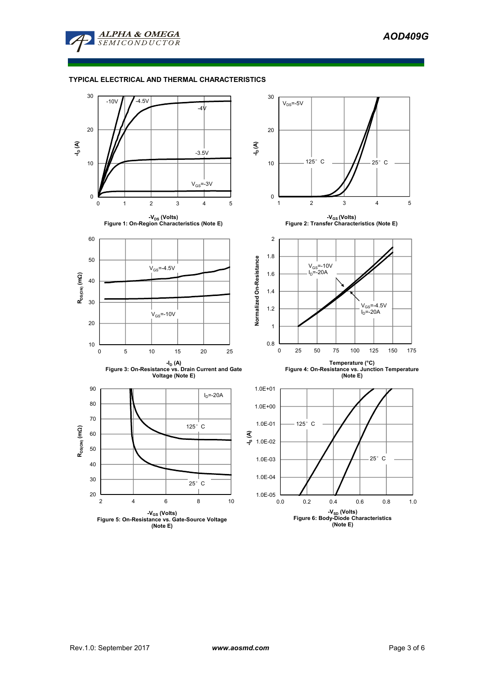

### **TYPICAL ELECTRICAL AND THERMAL CHARACTERISTICS**

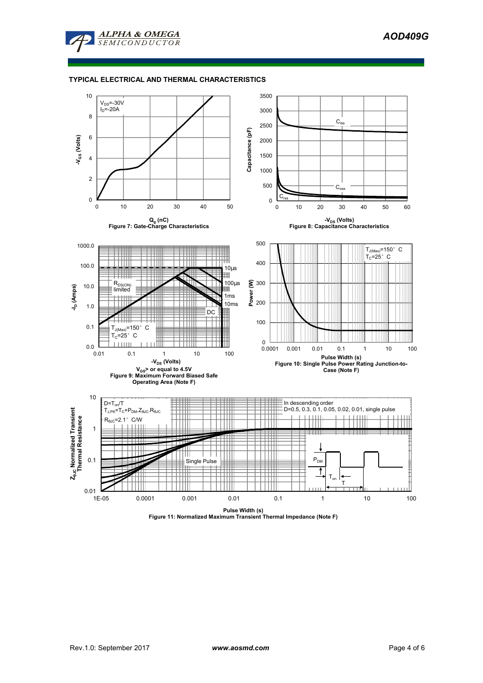

### **TYPICAL ELECTRICAL AND THERMAL CHARACTERISTICS**



**Pulse Width (s) Figure 11: Normalized Maximum Transient Thermal Impedance (Note F)**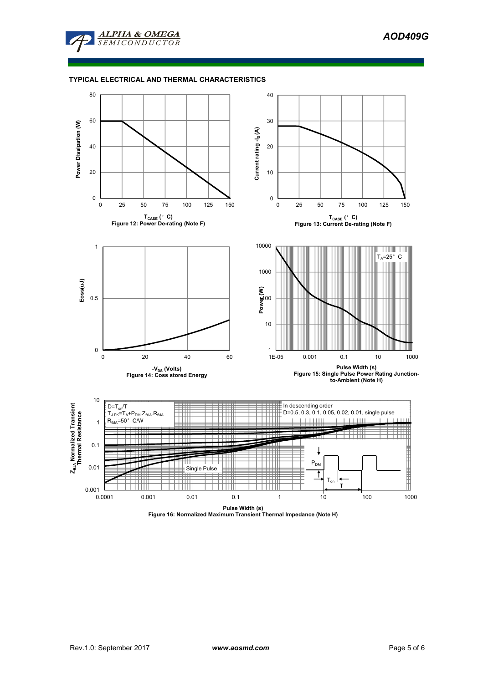

### **TYPICAL ELECTRICAL AND THERMAL CHARACTERISTICS**



**Pulse Width (s) Figure 16: Normalized Maximum Transient Thermal Impedance (Note H)**